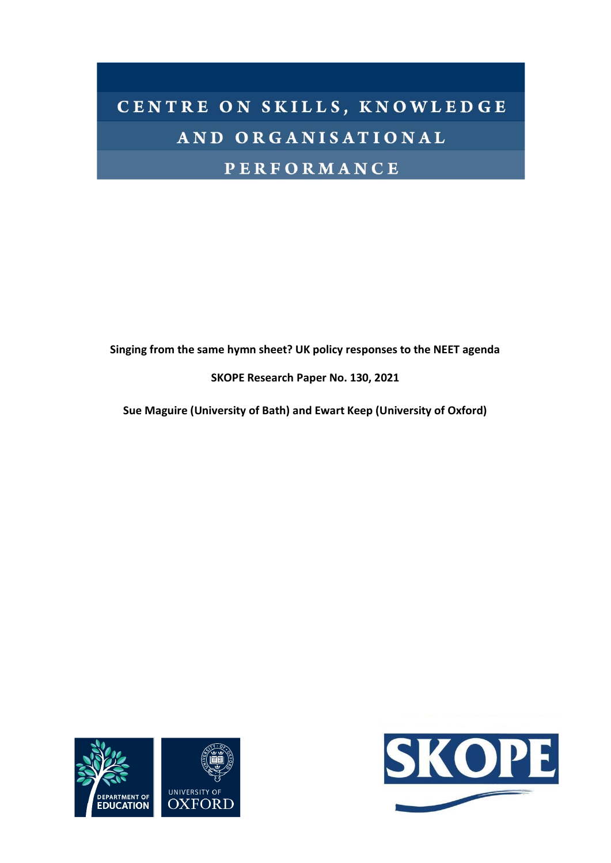# CENTRE ON SKILLS, KNOWLEDGE AND ORGANISATIONAL **PERFORMANCE**

**Singing from the same hymn sheet? UK policy responses to the NEET agenda**

**SKOPE Research Paper No. 130, 2021**

**Sue Maguire (University of Bath) and Ewart Keep (University of Oxford)**



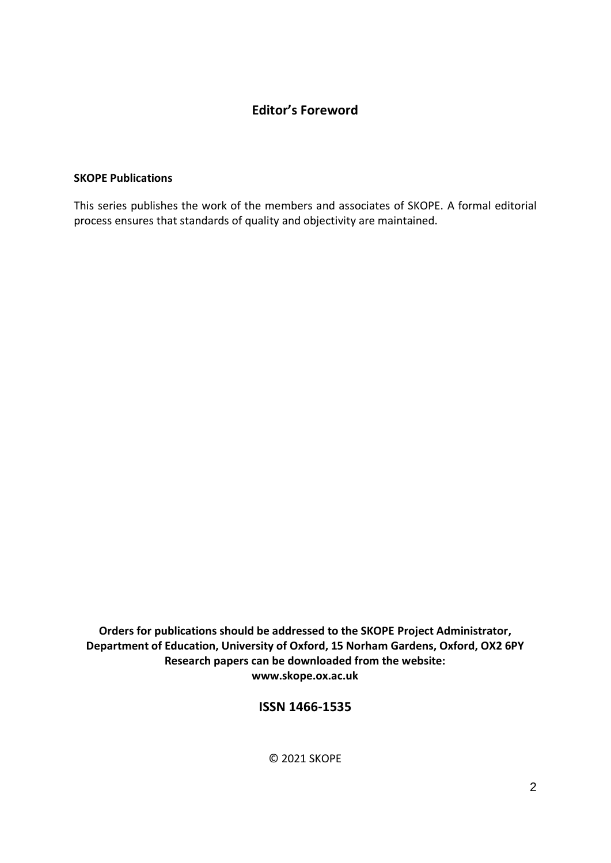# **Editor's Foreword**

# **SKOPE Publications**

This series publishes the work of the members and associates of SKOPE. A formal editorial process ensures that standards of quality and objectivity are maintained.

**Orders for publications should be addressed to the SKOPE Project Administrator, Department of Education, University of Oxford, 15 Norham Gardens, Oxford, OX2 6PY Research papers can be downloaded from the website: www.skope.ox.ac.uk**

# **ISSN 1466-1535**

© 2021 SKOPE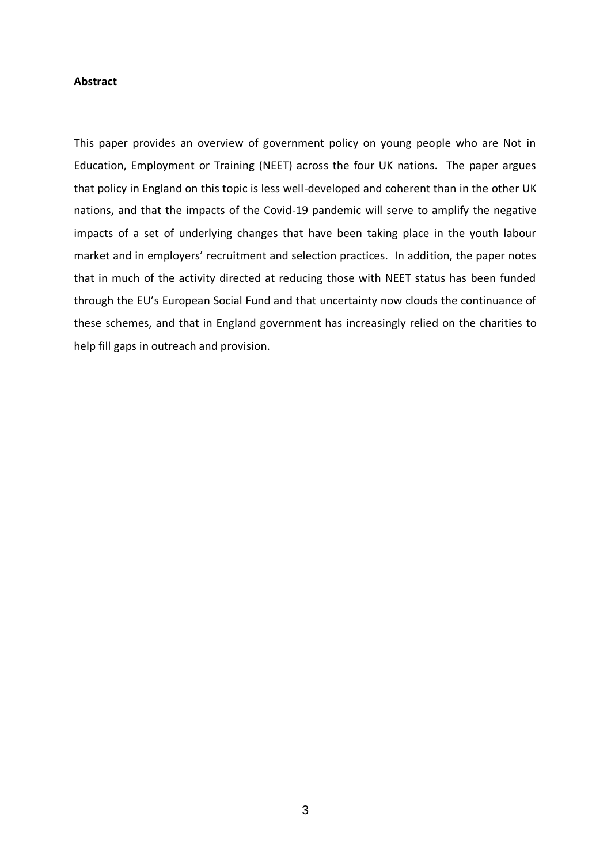# **Abstract**

This paper provides an overview of government policy on young people who are Not in Education, Employment or Training (NEET) across the four UK nations. The paper argues that policy in England on this topic is less well-developed and coherent than in the other UK nations, and that the impacts of the Covid-19 pandemic will serve to amplify the negative impacts of a set of underlying changes that have been taking place in the youth labour market and in employers' recruitment and selection practices. In addition, the paper notes that in much of the activity directed at reducing those with NEET status has been funded through the EU's European Social Fund and that uncertainty now clouds the continuance of these schemes, and that in England government has increasingly relied on the charities to help fill gaps in outreach and provision.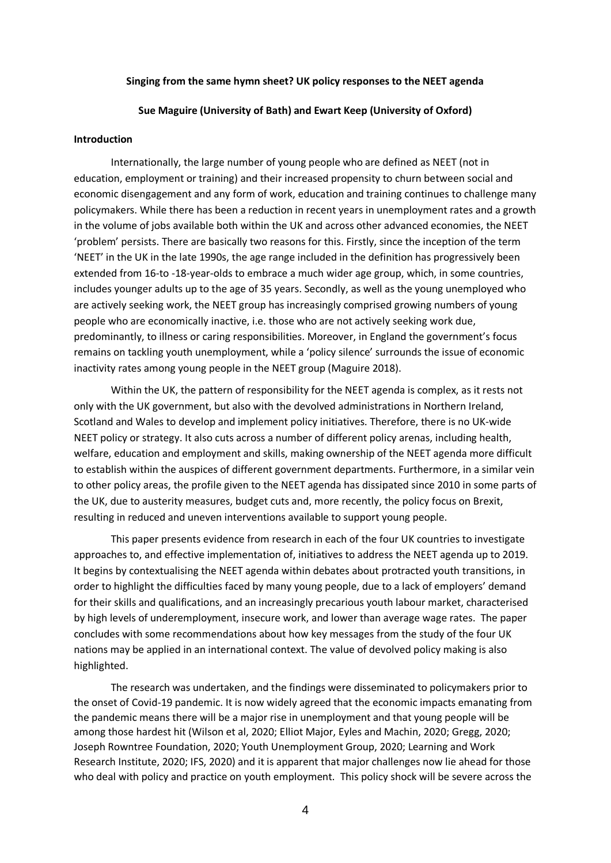#### **Singing from the same hymn sheet? UK policy responses to the NEET agenda**

#### **Sue Maguire (University of Bath) and Ewart Keep (University of Oxford)**

#### **Introduction**

Internationally, the large number of young people who are defined as NEET (not in education, employment or training) and their increased propensity to churn between social and economic disengagement and any form of work, education and training continues to challenge many policymakers. While there has been a reduction in recent years in unemployment rates and a growth in the volume of jobs available both within the UK and across other advanced economies, the NEET 'problem' persists. There are basically two reasons for this. Firstly, since the inception of the term 'NEET' in the UK in the late 1990s, the age range included in the definition has progressively been extended from 16-to -18-year-olds to embrace a much wider age group, which, in some countries, includes younger adults up to the age of 35 years. Secondly, as well as the young unemployed who are actively seeking work, the NEET group has increasingly comprised growing numbers of young people who are economically inactive, i.e. those who are not actively seeking work due, predominantly, to illness or caring responsibilities. Moreover, in England the government's focus remains on tackling youth unemployment, while a 'policy silence' surrounds the issue of economic inactivity rates among young people in the NEET group (Maguire 2018).

Within the UK, the pattern of responsibility for the NEET agenda is complex, as it rests not only with the UK government, but also with the devolved administrations in Northern Ireland, Scotland and Wales to develop and implement policy initiatives. Therefore, there is no UK-wide NEET policy or strategy. It also cuts across a number of different policy arenas, including health, welfare, education and employment and skills, making ownership of the NEET agenda more difficult to establish within the auspices of different government departments. Furthermore, in a similar vein to other policy areas, the profile given to the NEET agenda has dissipated since 2010 in some parts of the UK, due to austerity measures, budget cuts and, more recently, the policy focus on Brexit, resulting in reduced and uneven interventions available to support young people.

This paper presents evidence from research in each of the four UK countries to investigate approaches to, and effective implementation of, initiatives to address the NEET agenda up to 2019. It begins by contextualising the NEET agenda within debates about protracted youth transitions, in order to highlight the difficulties faced by many young people, due to a lack of employers' demand for their skills and qualifications, and an increasingly precarious youth labour market, characterised by high levels of underemployment, insecure work, and lower than average wage rates. The paper concludes with some recommendations about how key messages from the study of the four UK nations may be applied in an international context. The value of devolved policy making is also highlighted.

The research was undertaken, and the findings were disseminated to policymakers prior to the onset of Covid-19 pandemic. It is now widely agreed that the economic impacts emanating from the pandemic means there will be a major rise in unemployment and that young people will be among those hardest hit (Wilson et al, 2020; Elliot Major, Eyles and Machin, 2020; Gregg, 2020; Joseph Rowntree Foundation, 2020; Youth Unemployment Group, 2020; Learning and Work Research Institute, 2020; IFS, 2020) and it is apparent that major challenges now lie ahead for those who deal with policy and practice on youth employment. This policy shock will be severe across the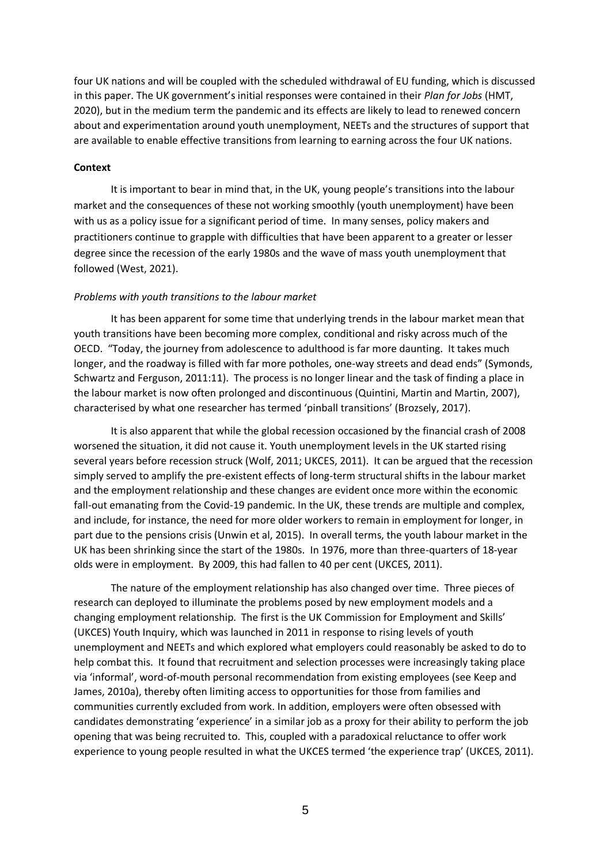four UK nations and will be coupled with the scheduled withdrawal of EU funding, which is discussed in this paper. The UK government's initial responses were contained in their *Plan for Jobs* (HMT, 2020), but in the medium term the pandemic and its effects are likely to lead to renewed concern about and experimentation around youth unemployment, NEETs and the structures of support that are available to enable effective transitions from learning to earning across the four UK nations.

#### **Context**

It is important to bear in mind that, in the UK, young people's transitions into the labour market and the consequences of these not working smoothly (youth unemployment) have been with us as a policy issue for a significant period of time. In many senses, policy makers and practitioners continue to grapple with difficulties that have been apparent to a greater or lesser degree since the recession of the early 1980s and the wave of mass youth unemployment that followed (West, 2021).

#### *Problems with youth transitions to the labour market*

It has been apparent for some time that underlying trends in the labour market mean that youth transitions have been becoming more complex, conditional and risky across much of the OECD. "Today, the journey from adolescence to adulthood is far more daunting. It takes much longer, and the roadway is filled with far more potholes, one-way streets and dead ends" (Symonds, Schwartz and Ferguson, 2011:11). The process is no longer linear and the task of finding a place in the labour market is now often prolonged and discontinuous (Quintini, Martin and Martin, 2007), characterised by what one researcher has termed 'pinball transitions' (Brozsely, 2017).

It is also apparent that while the global recession occasioned by the financial crash of 2008 worsened the situation, it did not cause it. Youth unemployment levels in the UK started rising several years before recession struck (Wolf, 2011; UKCES, 2011). It can be argued that the recession simply served to amplify the pre-existent effects of long-term structural shifts in the labour market and the employment relationship and these changes are evident once more within the economic fall-out emanating from the Covid-19 pandemic. In the UK, these trends are multiple and complex, and include, for instance, the need for more older workers to remain in employment for longer, in part due to the pensions crisis (Unwin et al, 2015). In overall terms, the youth labour market in the UK has been shrinking since the start of the 1980s. In 1976, more than three-quarters of 18-year olds were in employment. By 2009, this had fallen to 40 per cent (UKCES, 2011).

The nature of the employment relationship has also changed over time. Three pieces of research can deployed to illuminate the problems posed by new employment models and a changing employment relationship. The first is the UK Commission for Employment and Skills' (UKCES) Youth Inquiry, which was launched in 2011 in response to rising levels of youth unemployment and NEETs and which explored what employers could reasonably be asked to do to help combat this. It found that recruitment and selection processes were increasingly taking place via 'informal', word-of-mouth personal recommendation from existing employees (see Keep and James, 2010a), thereby often limiting access to opportunities for those from families and communities currently excluded from work. In addition, employers were often obsessed with candidates demonstrating 'experience' in a similar job as a proxy for their ability to perform the job opening that was being recruited to. This, coupled with a paradoxical reluctance to offer work experience to young people resulted in what the UKCES termed 'the experience trap' (UKCES, 2011).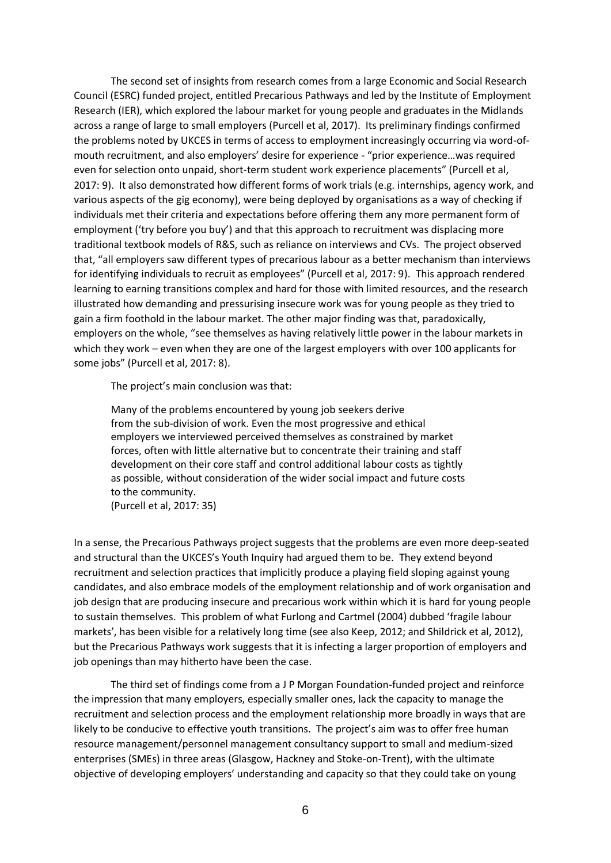The second set of insights from research comes from a large Economic and Social Research Council (ESRC) funded project, entitled Precarious Pathways and led by the Institute of Employment Research (IER), which explored the labour market for young people and graduates in the Midlands across a range of large to small employers (Purcell et al, 2017). Its preliminary findings confirmed the problems noted by UKCES in terms of access to employment increasingly occurring via word-ofmouth recruitment, and also employers' desire for experience - "prior experience…was required even for selection onto unpaid, short-term student work experience placements" (Purcell et al, 2017: 9). It also demonstrated how different forms of work trials (e.g. internships, agency work, and various aspects of the gig economy), were being deployed by organisations as a way of checking if individuals met their criteria and expectations before offering them any more permanent form of employment ('try before you buy') and that this approach to recruitment was displacing more traditional textbook models of R&S, such as reliance on interviews and CVs. The project observed that, "all employers saw different types of precarious labour as a better mechanism than interviews for identifying individuals to recruit as employees" (Purcell et al, 2017: 9). This approach rendered learning to earning transitions complex and hard for those with limited resources, and the research illustrated how demanding and pressurising insecure work was for young people as they tried to gain a firm foothold in the labour market. The other major finding was that, paradoxically, employers on the whole, "see themselves as having relatively little power in the labour markets in which they work – even when they are one of the largest employers with over 100 applicants for some jobs" (Purcell et al, 2017: 8).

The project's main conclusion was that:

Many of the problems encountered by young job seekers derive from the sub-division of work. Even the most progressive and ethical employers we interviewed perceived themselves as constrained by market forces, often with little alternative but to concentrate their training and staff development on their core staff and control additional labour costs as tightly as possible, without consideration of the wider social impact and future costs to the community. (Purcell et al, 2017: 35)

In a sense, the Precarious Pathways project suggests that the problems are even more deep-seated and structural than the UKCES's Youth Inquiry had argued them to be. They extend beyond recruitment and selection practices that implicitly produce a playing field sloping against young candidates, and also embrace models of the employment relationship and of work organisation and job design that are producing insecure and precarious work within which it is hard for young people to sustain themselves. This problem of what Furlong and Cartmel (2004) dubbed 'fragile labour markets', has been visible for a relatively long time (see also Keep, 2012; and Shildrick et al, 2012), but the Precarious Pathways work suggests that it is infecting a larger proportion of employers and job openings than may hitherto have been the case.

The third set of findings come from a J P Morgan Foundation-funded project and reinforce the impression that many employers, especially smaller ones, lack the capacity to manage the recruitment and selection process and the employment relationship more broadly in ways that are likely to be conducive to effective youth transitions. The project's aim was to offer free human resource management/personnel management consultancy support to small and medium-sized enterprises (SMEs) in three areas (Glasgow, Hackney and Stoke-on-Trent), with the ultimate objective of developing employers' understanding and capacity so that they could take on young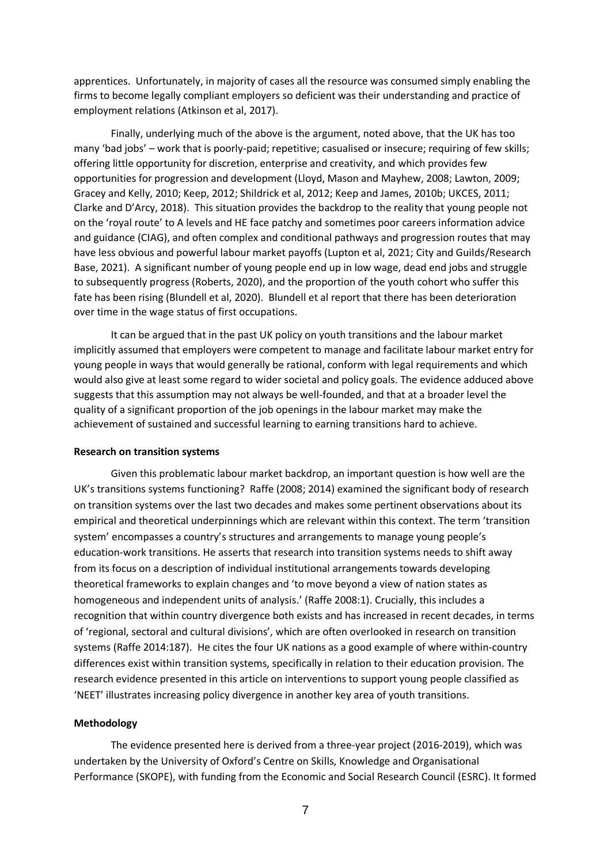apprentices. Unfortunately, in majority of cases all the resource was consumed simply enabling the firms to become legally compliant employers so deficient was their understanding and practice of employment relations (Atkinson et al, 2017).

Finally, underlying much of the above is the argument, noted above, that the UK has too many 'bad jobs' – work that is poorly-paid; repetitive; casualised or insecure; requiring of few skills; offering little opportunity for discretion, enterprise and creativity, and which provides few opportunities for progression and development (Lloyd, Mason and Mayhew, 2008; Lawton, 2009; Gracey and Kelly, 2010; Keep, 2012; Shildrick et al, 2012; Keep and James, 2010b; UKCES, 2011; Clarke and D'Arcy, 2018). This situation provides the backdrop to the reality that young people not on the 'royal route' to A levels and HE face patchy and sometimes poor careers information advice and guidance (CIAG), and often complex and conditional pathways and progression routes that may have less obvious and powerful labour market payoffs (Lupton et al, 2021; City and Guilds/Research Base, 2021). A significant number of young people end up in low wage, dead end jobs and struggle to subsequently progress (Roberts, 2020), and the proportion of the youth cohort who suffer this fate has been rising (Blundell et al, 2020). Blundell et al report that there has been deterioration over time in the wage status of first occupations.

It can be argued that in the past UK policy on youth transitions and the labour market implicitly assumed that employers were competent to manage and facilitate labour market entry for young people in ways that would generally be rational, conform with legal requirements and which would also give at least some regard to wider societal and policy goals. The evidence adduced above suggests that this assumption may not always be well-founded, and that at a broader level the quality of a significant proportion of the job openings in the labour market may make the achievement of sustained and successful learning to earning transitions hard to achieve.

#### **Research on transition systems**

Given this problematic labour market backdrop, an important question is how well are the UK's transitions systems functioning? Raffe (2008; 2014) examined the significant body of research on transition systems over the last two decades and makes some pertinent observations about its empirical and theoretical underpinnings which are relevant within this context. The term 'transition system' encompasses a country's structures and arrangements to manage young people's education-work transitions. He asserts that research into transition systems needs to shift away from its focus on a description of individual institutional arrangements towards developing theoretical frameworks to explain changes and 'to move beyond a view of nation states as homogeneous and independent units of analysis.' (Raffe 2008:1). Crucially, this includes a recognition that within country divergence both exists and has increased in recent decades, in terms of 'regional, sectoral and cultural divisions', which are often overlooked in research on transition systems (Raffe 2014:187). He cites the four UK nations as a good example of where within-country differences exist within transition systems, specifically in relation to their education provision. The research evidence presented in this article on interventions to support young people classified as 'NEET' illustrates increasing policy divergence in another key area of youth transitions.

#### **Methodology**

The evidence presented here is derived from a three-year project (2016-2019), which was undertaken by the University of Oxford's Centre on Skills, Knowledge and Organisational Performance (SKOPE), with funding from the Economic and Social Research Council (ESRC). It formed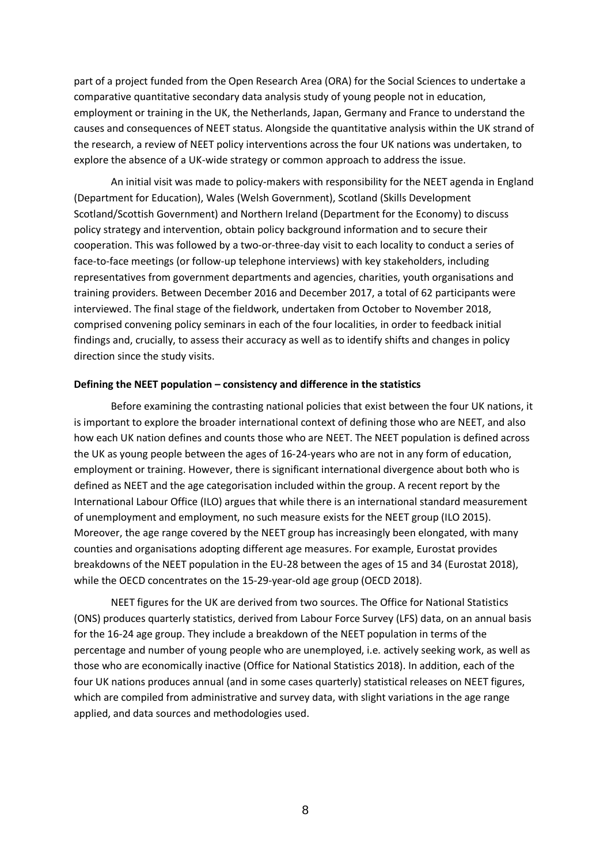part of a project funded from the Open Research Area (ORA) for the Social Sciences to undertake a comparative quantitative secondary data analysis study of young people not in education, employment or training in the UK, the Netherlands, Japan, Germany and France to understand the causes and consequences of NEET status. Alongside the quantitative analysis within the UK strand of the research, a review of NEET policy interventions across the four UK nations was undertaken, to explore the absence of a UK-wide strategy or common approach to address the issue.

An initial visit was made to policy-makers with responsibility for the NEET agenda in England (Department for Education), Wales (Welsh Government), Scotland (Skills Development Scotland/Scottish Government) and Northern Ireland (Department for the Economy) to discuss policy strategy and intervention, obtain policy background information and to secure their cooperation. This was followed by a two-or-three-day visit to each locality to conduct a series of face-to-face meetings (or follow-up telephone interviews) with key stakeholders, including representatives from government departments and agencies, charities, youth organisations and training providers. Between December 2016 and December 2017, a total of 62 participants were interviewed. The final stage of the fieldwork, undertaken from October to November 2018, comprised convening policy seminars in each of the four localities, in order to feedback initial findings and, crucially, to assess their accuracy as well as to identify shifts and changes in policy direction since the study visits.

#### **Defining the NEET population – consistency and difference in the statistics**

Before examining the contrasting national policies that exist between the four UK nations, it is important to explore the broader international context of defining those who are NEET, and also how each UK nation defines and counts those who are NEET. The NEET population is defined across the UK as young people between the ages of 16-24-years who are not in any form of education, employment or training. However, there is significant international divergence about both who is defined as NEET and the age categorisation included within the group. A recent report by the International Labour Office (ILO) argues that while there is an international standard measurement of unemployment and employment, no such measure exists for the NEET group (ILO 2015). Moreover, the age range covered by the NEET group has increasingly been elongated, with many counties and organisations adopting different age measures. For example, Eurostat provides breakdowns of the NEET population in the EU-28 between the ages of 15 and 34 (Eurostat 2018), while the OECD concentrates on the 15-29-year-old age group (OECD 2018).

NEET figures for the UK are derived from two sources. The Office for National Statistics (ONS) produces quarterly statistics, derived from Labour Force Survey (LFS) data, on an annual basis for the 16-24 age group. They include a breakdown of the NEET population in terms of the percentage and number of young people who are unemployed, i.e. actively seeking work, as well as those who are economically inactive (Office for National Statistics 2018). In addition, each of the four UK nations produces annual (and in some cases quarterly) statistical releases on NEET figures, which are compiled from administrative and survey data, with slight variations in the age range applied, and data sources and methodologies used.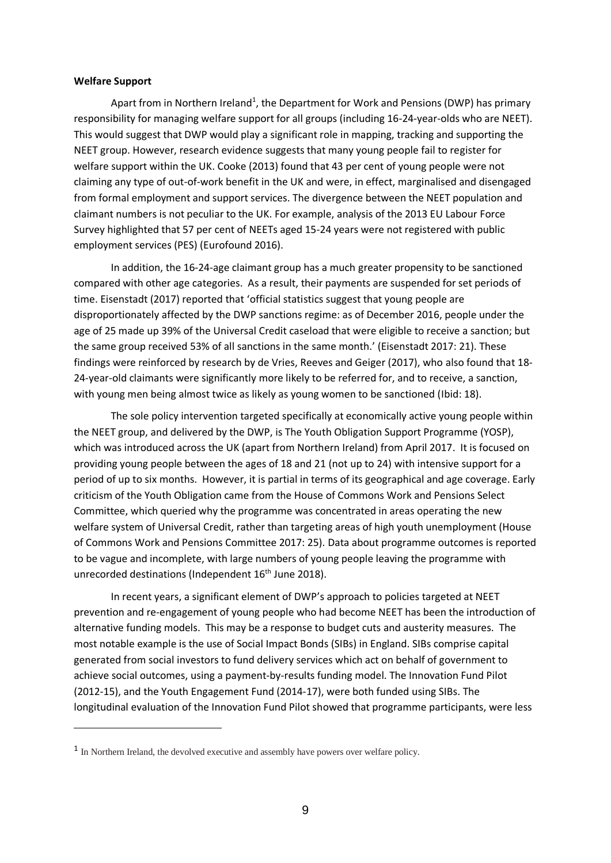#### **Welfare Support**

Apart from in Northern Ireland<sup>1</sup>, the Department for Work and Pensions (DWP) has primary responsibility for managing welfare support for all groups (including 16-24-year-olds who are NEET). This would suggest that DWP would play a significant role in mapping, tracking and supporting the NEET group. However, research evidence suggests that many young people fail to register for welfare support within the UK. Cooke (2013) found that 43 per cent of young people were not claiming any type of out-of-work benefit in the UK and were, in effect, marginalised and disengaged from formal employment and support services. The divergence between the NEET population and claimant numbers is not peculiar to the UK. For example, analysis of the 2013 EU Labour Force Survey highlighted that 57 per cent of NEETs aged 15-24 years were not registered with public employment services (PES) (Eurofound 2016).

In addition, the 16-24-age claimant group has a much greater propensity to be sanctioned compared with other age categories. As a result, their payments are suspended for set periods of time. Eisenstadt (2017) reported that 'official statistics suggest that young people are disproportionately affected by the DWP sanctions regime: as of December 2016, people under the age of 25 made up 39% of the Universal Credit caseload that were eligible to receive a sanction; but the same group received 53% of all sanctions in the same month.' (Eisenstadt 2017: 21). These findings were reinforced by research by de Vries, Reeves and Geiger (2017), who also found that 18- 24-year-old claimants were significantly more likely to be referred for, and to receive, a sanction, with young men being almost twice as likely as young women to be sanctioned (Ibid: 18).

The sole policy intervention targeted specifically at economically active young people within the NEET group, and delivered by the DWP, is The Youth Obligation Support Programme (YOSP), which was introduced across the UK (apart from Northern Ireland) from April 2017. It is focused on providing young people between the ages of 18 and 21 (not up to 24) with intensive support for a period of up to six months. However, it is partial in terms of its geographical and age coverage. Early criticism of the Youth Obligation came from the House of Commons Work and Pensions Select Committee, which queried why the programme was concentrated in areas operating the new welfare system of Universal Credit, rather than targeting areas of high youth unemployment (House of Commons Work and Pensions Committee 2017: 25). Data about programme outcomes is reported to be vague and incomplete, with large numbers of young people leaving the programme with unrecorded destinations (Independent 16<sup>th</sup> June 2018).

In recent years, a significant element of DWP's approach to policies targeted at NEET prevention and re-engagement of young people who had become NEET has been the introduction of alternative funding models. This may be a response to budget cuts and austerity measures. The most notable example is the use of Social Impact Bonds (SIBs) in England. SIBs comprise capital generated from social investors to fund delivery services which act on behalf of government to achieve social outcomes, using a payment-by-results funding model. The Innovation Fund Pilot (2012-15), and the Youth Engagement Fund (2014-17), were both funded using SIBs. The longitudinal evaluation of the Innovation Fund Pilot showed that programme participants, were less

<sup>&</sup>lt;sup>1</sup> In Northern Ireland, the devolved executive and assembly have powers over welfare policy.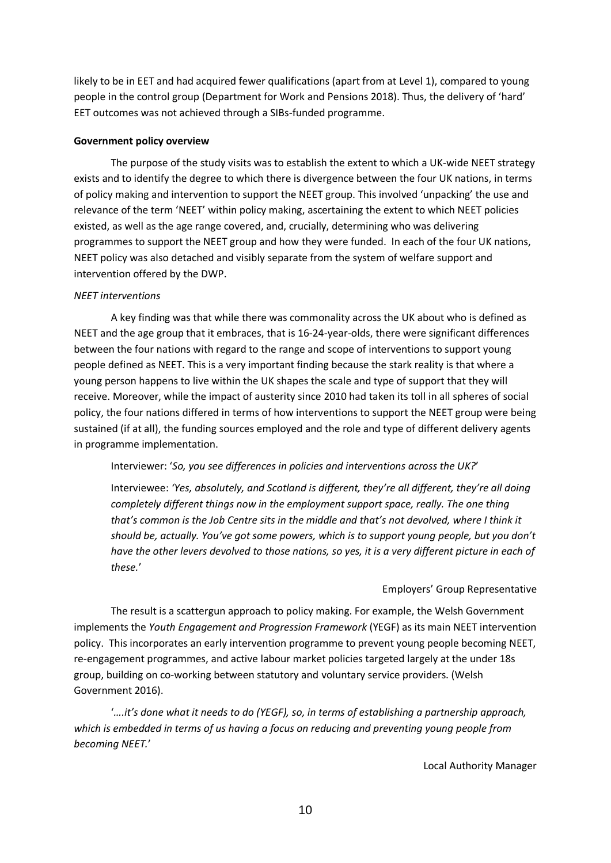likely to be in EET and had acquired fewer qualifications (apart from at Level 1), compared to young people in the control group (Department for Work and Pensions 2018). Thus, the delivery of 'hard' EET outcomes was not achieved through a SIBs-funded programme.

#### **Government policy overview**

The purpose of the study visits was to establish the extent to which a UK-wide NEET strategy exists and to identify the degree to which there is divergence between the four UK nations, in terms of policy making and intervention to support the NEET group. This involved 'unpacking' the use and relevance of the term 'NEET' within policy making, ascertaining the extent to which NEET policies existed, as well as the age range covered, and, crucially, determining who was delivering programmes to support the NEET group and how they were funded. In each of the four UK nations, NEET policy was also detached and visibly separate from the system of welfare support and intervention offered by the DWP.

#### *NEET interventions*

A key finding was that while there was commonality across the UK about who is defined as NEET and the age group that it embraces, that is 16-24-year-olds, there were significant differences between the four nations with regard to the range and scope of interventions to support young people defined as NEET. This is a very important finding because the stark reality is that where a young person happens to live within the UK shapes the scale and type of support that they will receive. Moreover, while the impact of austerity since 2010 had taken its toll in all spheres of social policy, the four nations differed in terms of how interventions to support the NEET group were being sustained (if at all), the funding sources employed and the role and type of different delivery agents in programme implementation.

Interviewer: '*So, you see differences in policies and interventions across the UK?*'

Interviewee: *'Yes, absolutely, and Scotland is different, they're all different, they're all doing completely different things now in the employment support space, really. The one thing that's common is the Job Centre sits in the middle and that's not devolved, where I think it should be, actually. You've got some powers, which is to support young people, but you don't* have the other levers devolved to those nations, so yes, it is a very different picture in each of *these.*'

#### Employers' Group Representative

The result is a scattergun approach to policy making. For example, the Welsh Government implements the *Youth Engagement and Progression Framework* (YEGF) as its main NEET intervention policy. This incorporates an early intervention programme to prevent young people becoming NEET, re-engagement programmes, and active labour market policies targeted largely at the under 18s group, building on co-working between statutory and voluntary service providers. (Welsh Government 2016).

'*….it's done what it needs to do (YEGF), so, in terms of establishing a partnership approach, which is embedded in terms of us having a focus on reducing and preventing young people from becoming NEET.*'

Local Authority Manager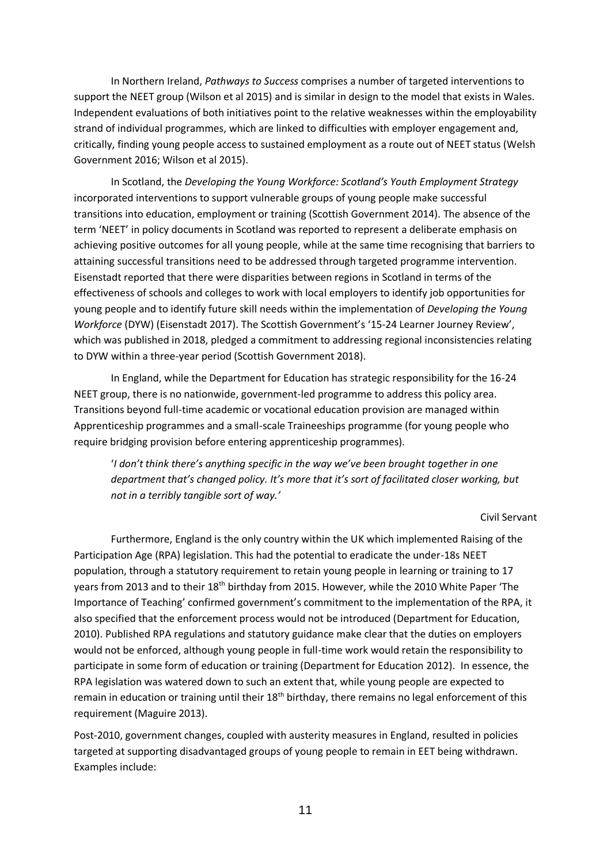In Northern Ireland, *Pathways to Success* comprises a number of targeted interventions to support the NEET group (Wilson et al 2015) and is similar in design to the model that exists in Wales. Independent evaluations of both initiatives point to the relative weaknesses within the employability strand of individual programmes, which are linked to difficulties with employer engagement and, critically, finding young people access to sustained employment as a route out of NEET status (Welsh Government 2016; Wilson et al 2015).

In Scotland, the *Developing the Young Workforce: Scotland's Youth Employment Strategy* incorporated interventions to support vulnerable groups of young people make successful transitions into education, employment or training (Scottish Government 2014). The absence of the term 'NEET' in policy documents in Scotland was reported to represent a deliberate emphasis on achieving positive outcomes for all young people, while at the same time recognising that barriers to attaining successful transitions need to be addressed through targeted programme intervention. Eisenstadt reported that there were disparities between regions in Scotland in terms of the effectiveness of schools and colleges to work with local employers to identify job opportunities for young people and to identify future skill needs within the implementation of *Developing the Young Workforce* (DYW) (Eisenstadt 2017). The Scottish Government's '15-24 Learner Journey Review', which was published in 2018, pledged a commitment to addressing regional inconsistencies relating to DYW within a three-year period (Scottish Government 2018).

In England, while the Department for Education has strategic responsibility for the 16-24 NEET group, there is no nationwide, government-led programme to address this policy area. Transitions beyond full-time academic or vocational education provision are managed within Apprenticeship programmes and a small-scale Traineeships programme (for young people who require bridging provision before entering apprenticeship programmes).

'*I don't think there's anything specific in the way we've been brought together in one department that's changed policy. It's more that it's sort of facilitated closer working, but not in a terribly tangible sort of way.'*

Civil Servant

Furthermore, England is the only country within the UK which implemented Raising of the Participation Age (RPA) legislation. This had the potential to eradicate the under-18s NEET population, through a statutory requirement to retain young people in learning or training to 17 years from 2013 and to their 18<sup>th</sup> birthday from 2015. However, while the 2010 White Paper 'The Importance of Teaching' confirmed government's commitment to the implementation of the RPA, it also specified that the enforcement process would not be introduced (Department for Education, 2010). Published RPA regulations and statutory guidance make clear that the duties on employers would not be enforced, although young people in full-time work would retain the responsibility to participate in some form of education or training (Department for Education 2012). In essence, the RPA legislation was watered down to such an extent that, while young people are expected to remain in education or training until their 18<sup>th</sup> birthday, there remains no legal enforcement of this requirement (Maguire 2013).

Post-2010, government changes, coupled with austerity measures in England, resulted in policies targeted at supporting disadvantaged groups of young people to remain in EET being withdrawn. Examples include: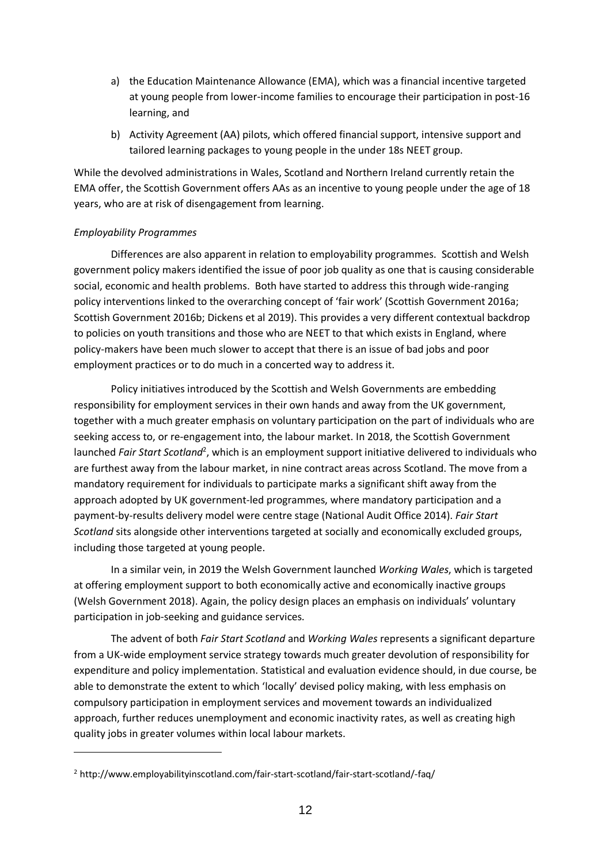- a) the Education Maintenance Allowance (EMA), which was a financial incentive targeted at young people from lower-income families to encourage their participation in post-16 learning, and
- b) Activity Agreement (AA) pilots, which offered financial support, intensive support and tailored learning packages to young people in the under 18s NEET group.

While the devolved administrations in Wales, Scotland and Northern Ireland currently retain the EMA offer, the Scottish Government offers AAs as an incentive to young people under the age of 18 years, who are at risk of disengagement from learning.

# *Employability Programmes*

Differences are also apparent in relation to employability programmes. Scottish and Welsh government policy makers identified the issue of poor job quality as one that is causing considerable social, economic and health problems. Both have started to address this through wide-ranging policy interventions linked to the overarching concept of 'fair work' (Scottish Government 2016a; Scottish Government 2016b; Dickens et al 2019). This provides a very different contextual backdrop to policies on youth transitions and those who are NEET to that which exists in England, where policy-makers have been much slower to accept that there is an issue of bad jobs and poor employment practices or to do much in a concerted way to address it.

Policy initiatives introduced by the Scottish and Welsh Governments are embedding responsibility for employment services in their own hands and away from the UK government, together with a much greater emphasis on voluntary participation on the part of individuals who are seeking access to, or re-engagement into, the labour market. In 2018, the Scottish Government launched *Fair Start Scotland<sup>2</sup>*, which is an employment support initiative delivered to individuals who are furthest away from the labour market, in nine contract areas across Scotland. The move from a mandatory requirement for individuals to participate marks a significant shift away from the approach adopted by UK government-led programmes, where mandatory participation and a payment-by-results delivery model were centre stage (National Audit Office 2014). *Fair Start Scotland* sits alongside other interventions targeted at socially and economically excluded groups, including those targeted at young people.

In a similar vein, in 2019 the Welsh Government launched *Working Wales*, which is targeted at offering employment support to both economically active and economically inactive groups (Welsh Government 2018). Again, the policy design places an emphasis on individuals' voluntary participation in job-seeking and guidance services.

The advent of both *Fair Start Scotland* and *Working Wales* represents a significant departure from a UK-wide employment service strategy towards much greater devolution of responsibility for expenditure and policy implementation. Statistical and evaluation evidence should, in due course, be able to demonstrate the extent to which 'locally' devised policy making, with less emphasis on compulsory participation in employment services and movement towards an individualized approach, further reduces unemployment and economic inactivity rates, as well as creating high quality jobs in greater volumes within local labour markets.

<sup>2</sup> http://www.employabilityinscotland.com/fair-start-scotland/fair-start-scotland/-faq/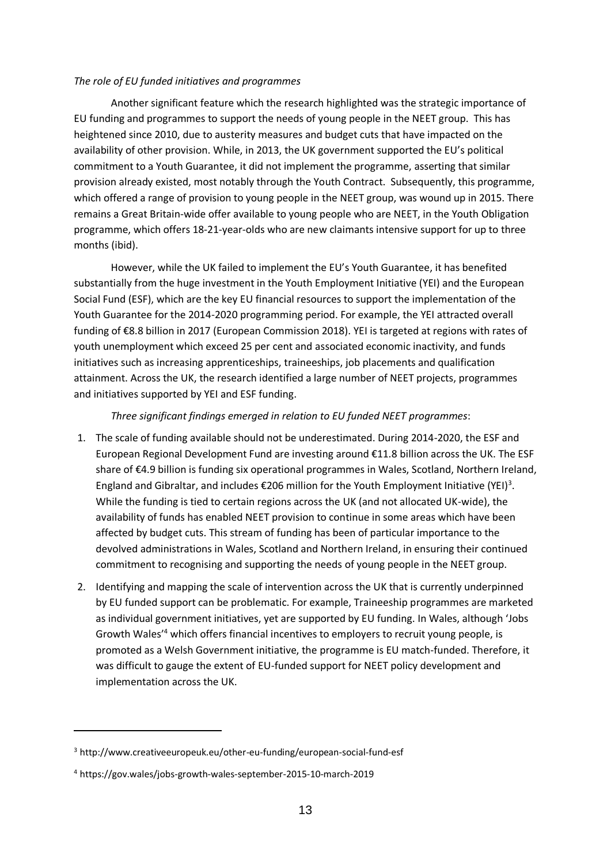### *The role of EU funded initiatives and programmes*

Another significant feature which the research highlighted was the strategic importance of EU funding and programmes to support the needs of young people in the NEET group. This has heightened since 2010, due to austerity measures and budget cuts that have impacted on the availability of other provision. While, in 2013, the UK government supported the EU's political commitment to a Youth Guarantee, it did not implement the programme, asserting that similar provision already existed, most notably through the Youth Contract. Subsequently, this programme, which offered a range of provision to young people in the NEET group, was wound up in 2015. There remains a Great Britain-wide offer available to young people who are NEET, in the Youth Obligation programme, which offers 18-21-year-olds who are new claimants intensive support for up to three months (ibid).

However, while the UK failed to implement the EU's Youth Guarantee, it has benefited substantially from the huge investment in the Youth Employment Initiative (YEI) and the European Social Fund (ESF), which are the key EU financial resources to support the implementation of the Youth Guarantee for the 2014-2020 programming period. For example, the YEI attracted overall funding of €8.8 billion in 2017 (European Commission 2018). YEI is targeted at regions with rates of youth unemployment which exceed 25 per cent and associated economic inactivity, and funds initiatives such as increasing apprenticeships, traineeships, job placements and qualification attainment. Across the UK, the research identified a large number of NEET projects, programmes and initiatives supported by YEI and ESF funding.

# *Three significant findings emerged in relation to EU funded NEET programmes*:

- 1. The scale of funding available should not be underestimated. During 2014-2020, the ESF and European Regional Development Fund are investing around €11.8 billion across the UK. The ESF share of €4.9 billion is funding six operational programmes in Wales, Scotland, Northern Ireland, England and Gibraltar, and includes  $\epsilon$ 206 million for the Youth Employment Initiative (YEI)<sup>3</sup>. While the funding is tied to certain regions across the UK (and not allocated UK-wide), the availability of funds has enabled NEET provision to continue in some areas which have been affected by budget cuts. This stream of funding has been of particular importance to the devolved administrations in Wales, Scotland and Northern Ireland, in ensuring their continued commitment to recognising and supporting the needs of young people in the NEET group.
- 2. Identifying and mapping the scale of intervention across the UK that is currently underpinned by EU funded support can be problematic. For example, Traineeship programmes are marketed as individual government initiatives, yet are supported by EU funding. In Wales, although 'Jobs Growth Wales'<sup>4</sup> which offers financial incentives to employers to recruit young people, is promoted as a Welsh Government initiative, the programme is EU match-funded. Therefore, it was difficult to gauge the extent of EU-funded support for NEET policy development and implementation across the UK.

<sup>3</sup> http://www.creativeeuropeuk.eu/other-eu-funding/european-social-fund-esf

<sup>4</sup> https://gov.wales/jobs-growth-wales-september-2015-10-march-2019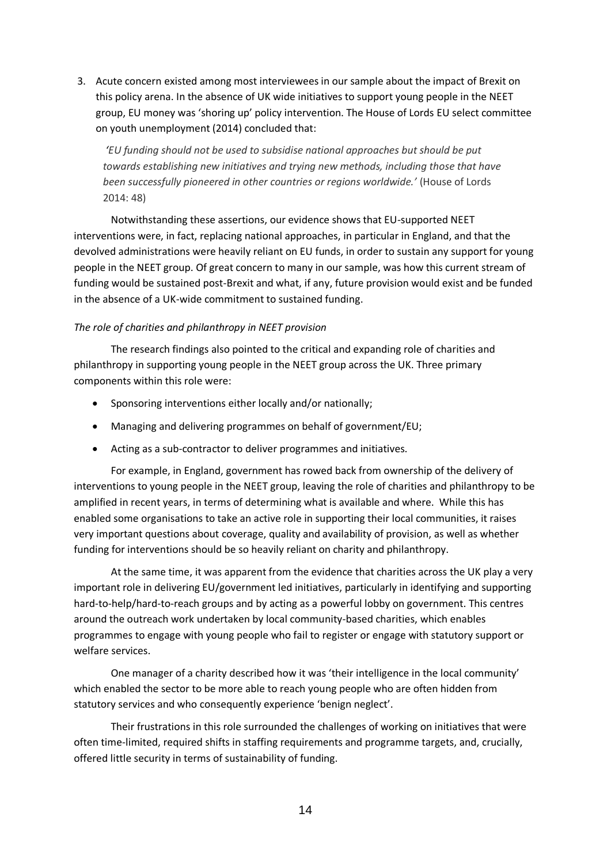3. Acute concern existed among most interviewees in our sample about the impact of Brexit on this policy arena. In the absence of UK wide initiatives to support young people in the NEET group, EU money was 'shoring up' policy intervention. The House of Lords EU select committee on youth unemployment (2014) concluded that:

*'EU funding should not be used to subsidise national approaches but should be put towards establishing new initiatives and trying new methods, including those that have been successfully pioneered in other countries or regions worldwide.'* (House of Lords 2014: 48)

Notwithstanding these assertions, our evidence shows that EU-supported NEET interventions were, in fact, replacing national approaches, in particular in England, and that the devolved administrations were heavily reliant on EU funds, in order to sustain any support for young people in the NEET group. Of great concern to many in our sample, was how this current stream of funding would be sustained post-Brexit and what, if any, future provision would exist and be funded in the absence of a UK-wide commitment to sustained funding.

# *The role of charities and philanthropy in NEET provision*

The research findings also pointed to the critical and expanding role of charities and philanthropy in supporting young people in the NEET group across the UK. Three primary components within this role were:

- Sponsoring interventions either locally and/or nationally;
- Managing and delivering programmes on behalf of government/EU;
- Acting as a sub-contractor to deliver programmes and initiatives.

For example, in England, government has rowed back from ownership of the delivery of interventions to young people in the NEET group, leaving the role of charities and philanthropy to be amplified in recent years, in terms of determining what is available and where. While this has enabled some organisations to take an active role in supporting their local communities, it raises very important questions about coverage, quality and availability of provision, as well as whether funding for interventions should be so heavily reliant on charity and philanthropy.

At the same time, it was apparent from the evidence that charities across the UK play a very important role in delivering EU/government led initiatives, particularly in identifying and supporting hard-to-help/hard-to-reach groups and by acting as a powerful lobby on government. This centres around the outreach work undertaken by local community-based charities, which enables programmes to engage with young people who fail to register or engage with statutory support or welfare services.

One manager of a charity described how it was 'their intelligence in the local community' which enabled the sector to be more able to reach young people who are often hidden from statutory services and who consequently experience 'benign neglect'.

Their frustrations in this role surrounded the challenges of working on initiatives that were often time-limited, required shifts in staffing requirements and programme targets, and, crucially, offered little security in terms of sustainability of funding.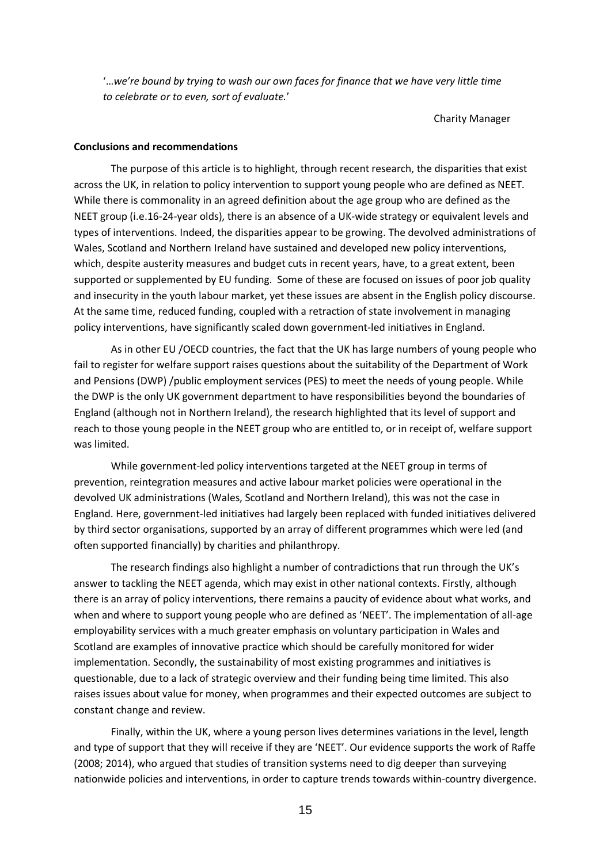'…*we're bound by trying to wash our own faces for finance that we have very little time to celebrate or to even, sort of evaluate.*'

Charity Manager

#### **Conclusions and recommendations**

The purpose of this article is to highlight, through recent research, the disparities that exist across the UK, in relation to policy intervention to support young people who are defined as NEET. While there is commonality in an agreed definition about the age group who are defined as the NEET group (i.e.16-24-year olds), there is an absence of a UK-wide strategy or equivalent levels and types of interventions. Indeed, the disparities appear to be growing. The devolved administrations of Wales, Scotland and Northern Ireland have sustained and developed new policy interventions, which, despite austerity measures and budget cuts in recent years, have, to a great extent, been supported or supplemented by EU funding. Some of these are focused on issues of poor job quality and insecurity in the youth labour market, yet these issues are absent in the English policy discourse. At the same time, reduced funding, coupled with a retraction of state involvement in managing policy interventions, have significantly scaled down government-led initiatives in England.

As in other EU /OECD countries, the fact that the UK has large numbers of young people who fail to register for welfare support raises questions about the suitability of the Department of Work and Pensions (DWP) /public employment services (PES) to meet the needs of young people. While the DWP is the only UK government department to have responsibilities beyond the boundaries of England (although not in Northern Ireland), the research highlighted that its level of support and reach to those young people in the NEET group who are entitled to, or in receipt of, welfare support was limited.

While government-led policy interventions targeted at the NEET group in terms of prevention, reintegration measures and active labour market policies were operational in the devolved UK administrations (Wales, Scotland and Northern Ireland), this was not the case in England. Here, government-led initiatives had largely been replaced with funded initiatives delivered by third sector organisations, supported by an array of different programmes which were led (and often supported financially) by charities and philanthropy.

The research findings also highlight a number of contradictions that run through the UK's answer to tackling the NEET agenda, which may exist in other national contexts. Firstly, although there is an array of policy interventions, there remains a paucity of evidence about what works, and when and where to support young people who are defined as 'NEET'. The implementation of all-age employability services with a much greater emphasis on voluntary participation in Wales and Scotland are examples of innovative practice which should be carefully monitored for wider implementation. Secondly, the sustainability of most existing programmes and initiatives is questionable, due to a lack of strategic overview and their funding being time limited. This also raises issues about value for money, when programmes and their expected outcomes are subject to constant change and review.

Finally, within the UK, where a young person lives determines variations in the level, length and type of support that they will receive if they are 'NEET'. Our evidence supports the work of Raffe (2008; 2014), who argued that studies of transition systems need to dig deeper than surveying nationwide policies and interventions, in order to capture trends towards within-country divergence.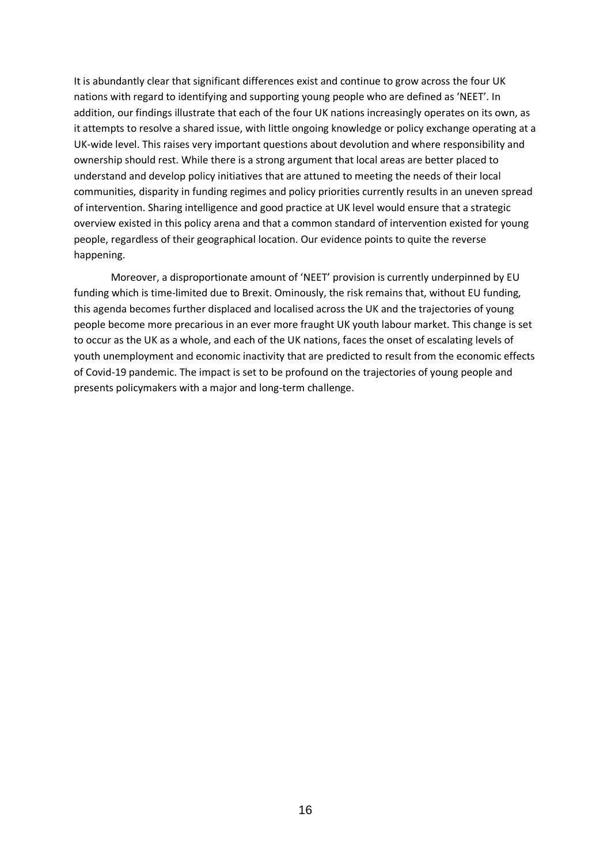It is abundantly clear that significant differences exist and continue to grow across the four UK nations with regard to identifying and supporting young people who are defined as 'NEET'. In addition, our findings illustrate that each of the four UK nations increasingly operates on its own, as it attempts to resolve a shared issue, with little ongoing knowledge or policy exchange operating at a UK-wide level. This raises very important questions about devolution and where responsibility and ownership should rest. While there is a strong argument that local areas are better placed to understand and develop policy initiatives that are attuned to meeting the needs of their local communities, disparity in funding regimes and policy priorities currently results in an uneven spread of intervention. Sharing intelligence and good practice at UK level would ensure that a strategic overview existed in this policy arena and that a common standard of intervention existed for young people, regardless of their geographical location. Our evidence points to quite the reverse happening.

Moreover, a disproportionate amount of 'NEET' provision is currently underpinned by EU funding which is time-limited due to Brexit. Ominously, the risk remains that, without EU funding, this agenda becomes further displaced and localised across the UK and the trajectories of young people become more precarious in an ever more fraught UK youth labour market. This change is set to occur as the UK as a whole, and each of the UK nations, faces the onset of escalating levels of youth unemployment and economic inactivity that are predicted to result from the economic effects of Covid-19 pandemic. The impact is set to be profound on the trajectories of young people and presents policymakers with a major and long-term challenge.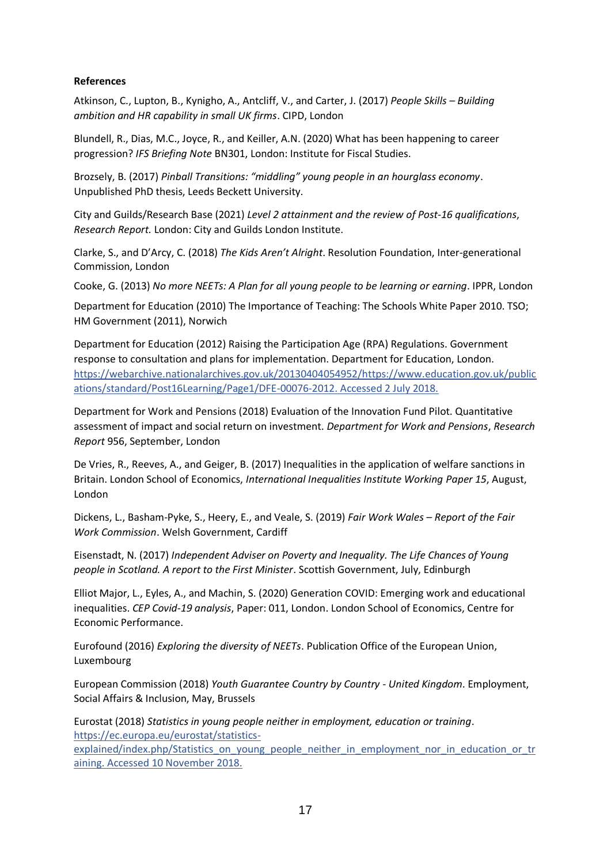# **References**

Atkinson, C., Lupton, B., Kynigho, A., Antcliff, V., and Carter, J. (2017) *People Skills – Building ambition and HR capability in small UK firms*. CIPD, London

Blundell, R., Dias, M.C., Joyce, R., and Keiller, A.N. (2020) What has been happening to career progression? *IFS Briefing Note* BN301, London: Institute for Fiscal Studies.

Brozsely, B. (2017) *Pinball Transitions: "middling" young people in an hourglass economy*. Unpublished PhD thesis, Leeds Beckett University.

City and Guilds/Research Base (2021) *Level 2 attainment and the review of Post-16 qualifications*, *Research Report.* London: City and Guilds London Institute.

Clarke, S., and D'Arcy, C. (2018) *The Kids Aren't Alright*. Resolution Foundation, Inter-generational Commission, London

Cooke, G. (2013) *No more NEETs: A Plan for all young people to be learning or earning*. IPPR, London

Department for Education (2010) The Importance of Teaching: The Schools White Paper 2010. TSO; HM Government (2011), Norwich

Department for Education (2012) Raising the Participation Age (RPA) Regulations. Government response to consultation and plans for implementation. Department for Education, London. [https://webarchive.nationalarchives.gov.uk/20130404054952/https://www.education.gov.uk/public](https://webarchive.nationalarchives.gov.uk/20130404054952/https:/www.education.gov.uk/publications/standard/Post16Learning/Page1/DFE-00076-2012) [ations/standard/Post16Learning/Page1/DFE-00076-2012.](https://webarchive.nationalarchives.gov.uk/20130404054952/https:/www.education.gov.uk/publications/standard/Post16Learning/Page1/DFE-00076-2012) Accessed 2 July 2018.

Department for Work and Pensions (2018) Evaluation of the Innovation Fund Pilot. Quantitative assessment of impact and social return on investment. *Department for Work and Pensions*, *Research Report* 956, September, London

De Vries, R., Reeves, A., and Geiger, B. (2017) Inequalities in the application of welfare sanctions in Britain. London School of Economics, *International Inequalities Institute Working Paper 15*, August, London

Dickens, L., Basham-Pyke, S., Heery, E., and Veale, S. (2019) *Fair Work Wales – Report of the Fair Work Commission*. Welsh Government, Cardiff

Eisenstadt, N. (2017) *Independent Adviser on Poverty and Inequality. The Life Chances of Young people in Scotland. A report to the First Minister*. Scottish Government, July, Edinburgh

Elliot Major, L., Eyles, A., and Machin, S. (2020) Generation COVID: Emerging work and educational inequalities. *CEP Covid-19 analysis*, Paper: 011, London. London School of Economics, Centre for Economic Performance.

Eurofound (2016) *Exploring the diversity of NEETs*. Publication Office of the European Union, Luxembourg

European Commission (2018) *Youth Guarantee Country by Country - United Kingdom*. Employment, Social Affairs & Inclusion, May, Brussels

Eurostat (2018) *Statistics in young people neither in employment, education or training*. [https://ec.europa.eu/eurostat/statistics-](https://ec.europa.eu/eurostat/statistics-%20explained/index.php/Statistics_on_young_people_neither_in_employment_nor_in_education_or_training.)

[explained/index.php/Statistics\\_on\\_young\\_people\\_neither\\_in\\_employment\\_nor\\_in\\_education\\_or\\_tr](https://ec.europa.eu/eurostat/statistics-%20explained/index.php/Statistics_on_young_people_neither_in_employment_nor_in_education_or_training.) [aining.](https://ec.europa.eu/eurostat/statistics-%20explained/index.php/Statistics_on_young_people_neither_in_employment_nor_in_education_or_training.) Accessed 10 November 2018.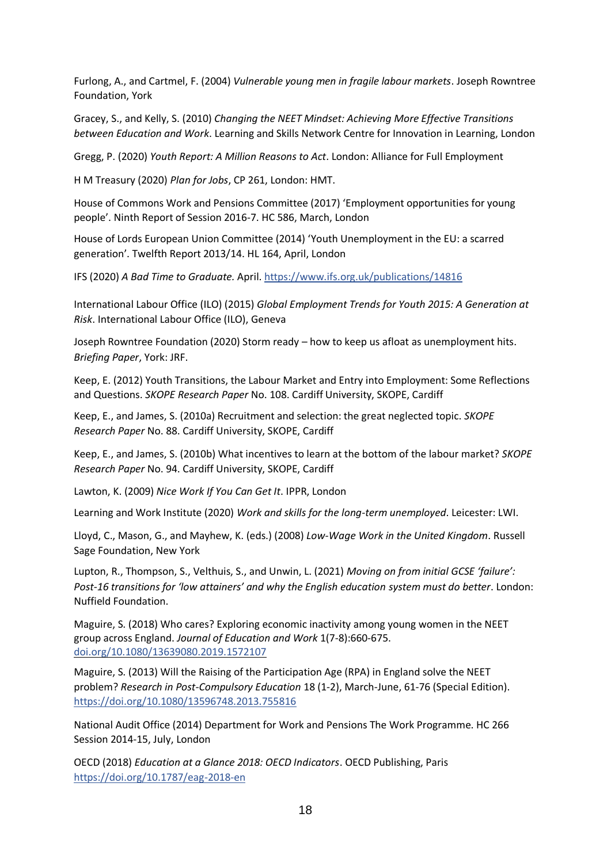Furlong, A., and Cartmel, F. (2004) *Vulnerable young men in fragile labour markets*. Joseph Rowntree Foundation, York

Gracey, S., and Kelly, S. (2010) *Changing the NEET Mindset: Achieving More Effective Transitions between Education and Work*. Learning and Skills Network Centre for Innovation in Learning, London

Gregg, P. (2020) *Youth Report: A Million Reasons to Act*. London: Alliance for Full Employment

H M Treasury (2020) *Plan for Jobs*, CP 261, London: HMT.

House of Commons Work and Pensions Committee (2017) 'Employment opportunities for young people'. Ninth Report of Session 2016-7. HC 586, March, London

House of Lords European Union Committee (2014) 'Youth Unemployment in the EU: a scarred generation'. Twelfth Report 2013/14. HL 164, April, London

IFS (2020) *A Bad Time to Graduate.* April. <https://www.ifs.org.uk/publications/14816>

International Labour Office (ILO) (2015) *Global Employment Trends for Youth 2015: A Generation at Risk*. International Labour Office (ILO), Geneva

Joseph Rowntree Foundation (2020) Storm ready – how to keep us afloat as unemployment hits. *Briefing Paper*, York: JRF.

Keep, E. (2012) Youth Transitions, the Labour Market and Entry into Employment: Some Reflections and Questions. *SKOPE Research Paper* No. 108. Cardiff University, SKOPE, Cardiff

Keep, E., and James, S. (2010a) Recruitment and selection: the great neglected topic. *SKOPE Research Paper* No. 88. Cardiff University, SKOPE, Cardiff

Keep, E., and James, S. (2010b) What incentives to learn at the bottom of the labour market? *SKOPE Research Paper* No. 94. Cardiff University, SKOPE, Cardiff

Lawton, K. (2009) *Nice Work If You Can Get It*. IPPR, London

Learning and Work Institute (2020) *Work and skills for the long-term unemployed*. Leicester: LWI.

Lloyd, C., Mason, G., and Mayhew, K. (eds.) (2008) *Low-Wage Work in the United Kingdom*. Russell Sage Foundation, New York

Lupton, R., Thompson, S., Velthuis, S., and Unwin, L. (2021) *Moving on from initial GCSE 'failure': Post-16 transitions for 'low attainers' and why the English education system must do better*. London: Nuffield Foundation.

Maguire, S. (2018) Who cares? Exploring economic inactivity among young women in the NEET group across England. *Journal of Education and Work* 1(7-8):660-675. [doi.org/10.1080/13639080.2019.1572107](https://doi.org/10.1080/13639080.2019.1572107)

Maguire, S. (2013) Will the Raising of the Participation Age (RPA) in England solve the NEET problem? *Research in Post-Compulsory Education* 18 (1-2), March-June, 61-76 (Special Edition). <https://doi.org/10.1080/13596748.2013.755816>

National Audit Office (2014) Department for Work and Pensions The Work Programme. HC 266 Session 2014-15, July, London

OECD (2018) *Education at a Glance 2018: OECD Indicators*. OECD Publishing, Paris <https://doi.org/10.1787/eag-2018-en>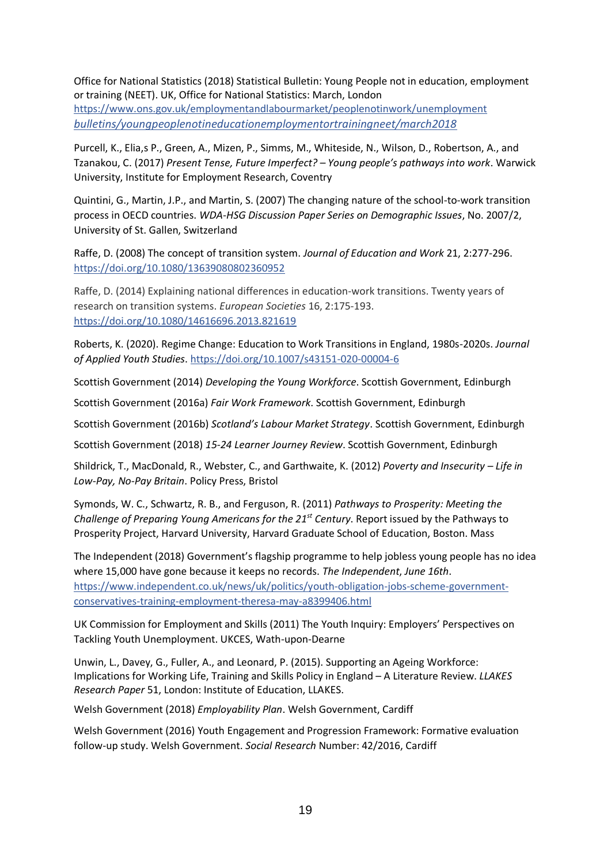Office for National Statistics (2018) Statistical Bulletin: Young People not in education, employment or training (NEET). UK, Office for National Statistics: March, London

[https://www.ons.gov.uk/employmentandlabourmarket/peoplenotinwork/un](https://www.ons.gov.uk/employmentandlabourmarket/peoplenotinwork/u)employment *bulletins/youngpeoplenotineducationemploymentortrainingneet/march2018*

Purcell, K., Elia,s P., Green, A., Mizen, P., Simms, M., Whiteside, N., Wilson, D., Robertson, A., and Tzanakou, C. (2017) *Present Tense, Future Imperfect? – Young people's pathways into work*. Warwick University, Institute for Employment Research, Coventry

Quintini, G., Martin, J.P., and Martin, S. (2007) The changing nature of the school-to-work transition process in OECD countries. *WDA-HSG Discussion Paper Series on Demographic Issues*, No. 2007/2, University of St. Gallen, Switzerland

Raffe, D. (2008) The concept of transition system. *Journal of Education and Work* 21, 2:277-296. <https://doi.org/10.1080/13639080802360952>

Raffe, D. (2014) Explaining national differences in education-work transitions. Twenty years of research on transition systems. *European Societies* 16, 2:175-193. [https://doi.org/10.1080/14616696.2013.821619](https://doi.org/10.1080/13639080802360952)

Roberts, K. (2020). Regime Change: Education to Work Transitions in England, 1980s-2020s. *Journal of Applied Youth Studies*. <https://doi.org/10.1007/s43151-020-00004-6>

Scottish Government (2014) *Developing the Young Workforce*. Scottish Government, Edinburgh

Scottish Government (2016a) *Fair Work Framework*. Scottish Government, Edinburgh

Scottish Government (2016b) *Scotland's Labour Market Strategy*. Scottish Government, Edinburgh

Scottish Government (2018) *15-24 Learner Journey Review*. Scottish Government, Edinburgh

Shildrick, T., MacDonald, R., Webster, C., and Garthwaite, K. (2012) *Poverty and Insecurity – Life in Low-Pay, No-Pay Britain*. Policy Press, Bristol

Symonds, W. C., Schwartz, R. B., and Ferguson, R. (2011) *Pathways to Prosperity: Meeting the Challenge of Preparing Young Americans for the 21st Century*. Report issued by the Pathways to Prosperity Project, Harvard University, Harvard Graduate School of Education, Boston. Mass

The Independent (2018) Government's flagship programme to help jobless young people has no idea where 15,000 have gone because it keeps no records. *The Independent*, *June 16th*. [https://www.independent.co.uk/news/uk/politics/youth-obligation-jobs-scheme-government](https://www.independent.co.uk/news/uk/politics/youth-obligation-jobs-scheme-government-conservatives-training-employment-theresa-may-a8399406.html)[conservatives-training-employment-theresa-may-a8399406.html](https://www.independent.co.uk/news/uk/politics/youth-obligation-jobs-scheme-government-conservatives-training-employment-theresa-may-a8399406.html)

UK Commission for Employment and Skills (2011) The Youth Inquiry: Employers' Perspectives on Tackling Youth Unemployment. UKCES, Wath-upon-Dearne

Unwin, L., Davey, G., Fuller, A., and Leonard, P. (2015). Supporting an Ageing Workforce: Implications for Working Life, Training and Skills Policy in England – A Literature Review. *LLAKES Research Paper* 51, London: Institute of Education, LLAKES.

Welsh Government (2018) *Employability Plan*. Welsh Government, Cardiff

Welsh Government (2016) Youth Engagement and Progression Framework: Formative evaluation follow-up study. Welsh Government. *Social Research* Number: 42/2016, Cardiff